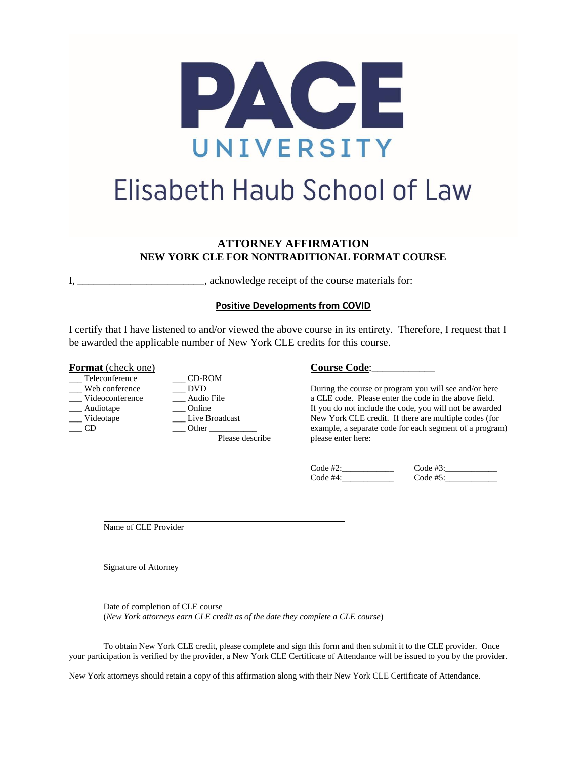

# Elisabeth Haub School of Law

## **ATTORNEY AFFIRMATION NEW YORK CLE FOR NONTRADITIONAL FORMAT COURSE**

I, acknowledge receipt of the course materials for:

### **Positive Developments from COVID**

I certify that I have listened to and/or viewed the above course in its entirety. Therefore, I request that I be awarded the applicable number of New York CLE credits for this course.

#### **Format** (check one) **Course Code**:

- 
- 
- Teleconference \_\_\_ CD-ROM

Web conference \_\_\_\_\_\_\_\_\_\_ DVD During the course or program you will see and/or here \_\_\_ Videoconference \_\_\_ Audio File a CLE code. Please enter the code in the above field. Audiotape  $\qquad \qquad \qquad \qquad$  Online If you do not include the code, you will not be awarded Videotape  $\qquad \qquad \qquad$  Live Broadcast New York CLE credit. If there are multiple codes (for Videotape Live Broadcast New York CLE credit. If there are multiple codes (for \_\_\_ CD \_\_\_ Other \_\_\_\_\_\_\_\_\_\_\_ example, a separate code for each segment of a program) Please describe please enter here:

| $Code$ #2: | Code #3:    |
|------------|-------------|
| Code #4:   | Code $#5$ : |

Name of CLE Provider

Signature of Attorney

Date of completion of CLE course (*New York attorneys earn CLE credit as of the date they complete a CLE course*)

To obtain New York CLE credit, please complete and sign this form and then submit it to the CLE provider. Once your participation is verified by the provider, a New York CLE Certificate of Attendance will be issued to you by the provider.

New York attorneys should retain a copy of this affirmation along with their New York CLE Certificate of Attendance.